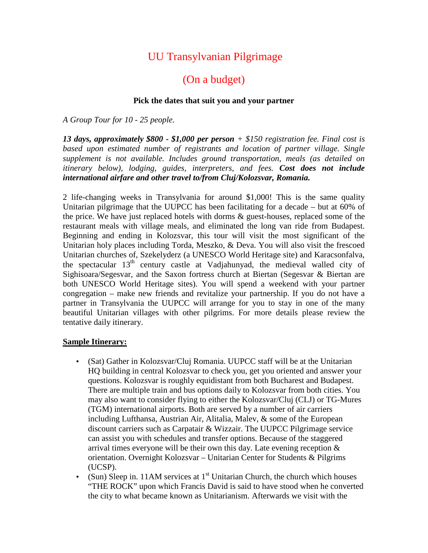## UU Transylvanian Pilgrimage

## (On a budget)

## **Pick the dates that suit you and your partner**

*A Group Tour for 10 - 25 people.*

*13 days, approximately \$800 - \$1,000 per person + \$150 registration fee. Final cost is*  based upon estimated number of registrants and location of partner village. Single *supplement is not available. Includes ground transportation, meals (as detailed on itinerary below), lodging, guides, interpreters, and fees. Cost does not include international airfare and other travel to/from Cluj/Kolozsvar, Romania.*

2 life-changing weeks in Transylvania for around \$1,000! This is the same quality Unitarian pilgrimage that the UUPCC has been facilitating for a decade – but at 60% of the price. We have just replaced hotels with dorms & guest-houses, replaced some of the restaurant meals with village meals, and eliminated the long van ride from Budapest. Beginning and ending in Kolozsvar, this tour will visit the most significant of the Unitarian holy places including Torda, Meszko, & Deva. You will also visit the frescoed Unitarian churches of, Szekelyderz (a UNESCO World Heritage site) and Karacsonfalva, the spectacular 13<sup>th</sup> century castle at Vadjahunyad, the medieval walled city of Sighisoara/Segesvar, and the Saxon fortress church at Biertan (Segesvar & Biertan are both UNESCO World Heritage sites). You will spend a weekend with your partner congregation – make new friends and revitalize your partnership. If you do not have a partner in Transylvania the UUPCC will arrange for you to stay in one of the many beautiful Unitarian villages with other pilgrims. For more details please review the tentative daily itinerary.

## **Sample Itinerary:**

- (Sat) Gather in Kolozsvar/Cluj Romania. UUPCC staff will be at the Unitarian HQ building in central Kolozsvar to check you, get you oriented and answer your questions. Kolozsvar is roughly equidistant from both Bucharest and Budapest. There are multiple train and bus options daily to Kolozsvar from both cities. You may also want to consider flying to either the Kolozsvar/Cluj (CLJ) or TG-Mures (TGM) international airports. Both are served by a number of air carriers including Lufthansa, Austrian Air, Alitalia, Malev, & some of the European discount carriers such as Carpatair & Wizzair. The UUPCC Pilgrimage service can assist you with schedules and transfer options. Because of the staggered arrival times everyone will be their own this day. Late evening reception  $\&$ orientation. Overnight Kolozsvar – Unitarian Center for Students & Pilgrims (UCSP).
- (Sun) Sleep in. 11AM services at  $1<sup>st</sup>$  Unitarian Church, the church which houses "THE ROCK" upon which Francis David is said to have stood when he converted the city to what became known as Unitarianism. Afterwards we visit with the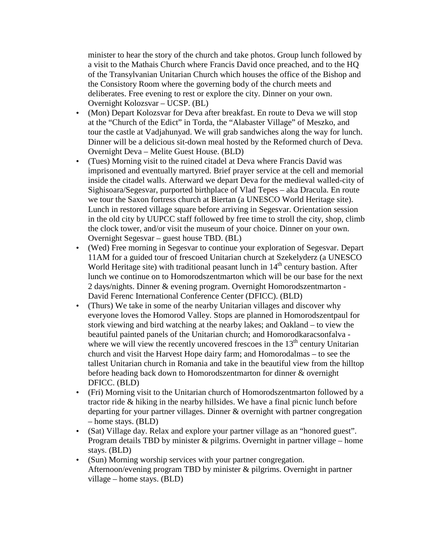minister to hear the story of the church and take photos. Group lunch followed by a visit to the Mathais Church where Francis David once preached, and to the HQ of the Transylvanian Unitarian Church which houses the office of the Bishop and the Consistory Room where the governing body of the church meets and deliberates. Free evening to rest or explore the city. Dinner on your own. Overnight Kolozsvar – UCSP. (BL)

- (Mon) Depart Kolozsvar for Deva after breakfast. En route to Deva we will stop at the "Church of the Edict" in Torda, the "Alabaster Village" of Meszko, and tour the castle at Vadjahunyad. We will grab sandwiches along the way for lunch. Dinner will be a delicious sit-down meal hosted by the Reformed church of Deva. Overnight Deva – Melite Guest House. (BLD)
- (Tues) Morning visit to the ruined citadel at Deva where Francis David was imprisoned and eventually martyred. Brief prayer service at the cell and memorial inside the citadel walls. Afterward we depart Deva for the medieval walled-city of Sighisoara/Segesvar, purported birthplace of Vlad Tepes – aka Dracula. En route we tour the Saxon fortress church at Biertan (a UNESCO World Heritage site). Lunch in restored village square before arriving in Segesvar. Orientation session in the old city by UUPCC staff followed by free time to stroll the city, shop, climb the clock tower, and/or visit the museum of your choice. Dinner on your own. Overnight Segesvar – guest house TBD. (BL)
- (Wed) Free morning in Segesvar to continue your exploration of Segesvar. Depart 11AM for a guided tour of frescoed Unitarian church at Szekelyderz (a UNESCO World Heritage site) with traditional peasant lunch in  $14<sup>th</sup>$  century bastion. After lunch we continue on to Homorodszentmarton which will be our base for the next 2 days/nights. Dinner & evening program. Overnight Homorodszentmarton - David Ferenc International Conference Center (DFICC). (BLD)
- (Thurs) We take in some of the nearby Unitarian villages and discover why everyone loves the Homorod Valley. Stops are planned in Homorodszentpaul for stork viewing and bird watching at the nearby lakes; and Oakland – to view the beautiful painted panels of the Unitarian church; and Homorodkaracsonfalva where we will view the recently uncovered frescoes in the  $13<sup>th</sup>$  century Unitarian church and visit the Harvest Hope dairy farm; and Homorodalmas – to see the tallest Unitarian church in Romania and take in the beautiful view from the hilltop before heading back down to Homorodszentmarton for dinner & overnight DFICC. (BLD)
- (Fri) Morning visit to the Unitarian church of Homorodszentmarton followed by a tractor ride & hiking in the nearby hillsides. We have a final picnic lunch before departing for your partner villages. Dinner & overnight with partner congregation – home stays. (BLD)
- (Sat) Village day. Relax and explore your partner village as an "honored guest". Program details TBD by minister & pilgrims. Overnight in partner village – home stays. (BLD)
- (Sun) Morning worship services with your partner congregation. Afternoon/evening program TBD by minister & pilgrims. Overnight in partner village – home stays. (BLD)